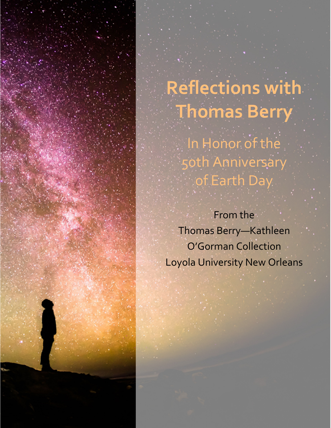

From the Thomas Berry—Kathleen O'Gorman Collection Loyola University New Orleans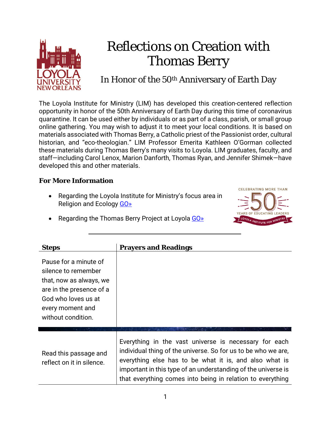

## Reflections on Creation with Thomas Berry

## In Honor of the 50<sup>th</sup> Anniversary of Earth Day

The Loyola Institute for Ministry (LIM) has developed this creation-centered reflection opportunity in honor of the 50th Anniversary of Earth Day during this time of coronavirus quarantine. It can be used either by individuals or as part of a class, parish, or small group online gathering. You may wish to adjust it to meet your local conditions. It is based on materials associated with Thomas Berry, a Catholic priest of the Passionist order, cultural historian, and "eco-theologian." LIM Professor Emerita Kathleen O'Gorman collected these materials during Thomas Berry's many visits to Loyola. LIM graduates, faculty, and staff—including Carol Lenox, Marion Danforth, Thomas Ryan, and Jennifer Shimek—have developed this and other materials.

## **For More Information**

• Regarding the Loyola Institute for Ministry's focus area in Religion and Ecology [GO»](http://cnh.loyno.edu/lim/focus-areas#religion-ecology)



Regarding the Thomas Berry Project at Loyola [GO»](http://cnh.loyno.edu/lim/thomas-berry-project)

| <b>Steps</b>                                                                                                                                                         | <b>Prayers and Readings</b>                                                                                                                                                                                                                                                                                     |
|----------------------------------------------------------------------------------------------------------------------------------------------------------------------|-----------------------------------------------------------------------------------------------------------------------------------------------------------------------------------------------------------------------------------------------------------------------------------------------------------------|
| Pause for a minute of<br>silence to remember<br>that, now as always, we<br>are in the presence of a<br>God who loves us at<br>every moment and<br>without condition. |                                                                                                                                                                                                                                                                                                                 |
| Read this passage and<br>reflect on it in silence.                                                                                                                   | Everything in the vast universe is necessary for each<br>individual thing of the universe. So for us to be who we are,<br>everything else has to be what it is, and also what is<br>important in this type of an understanding of the universe is<br>that everything comes into being in relation to everything |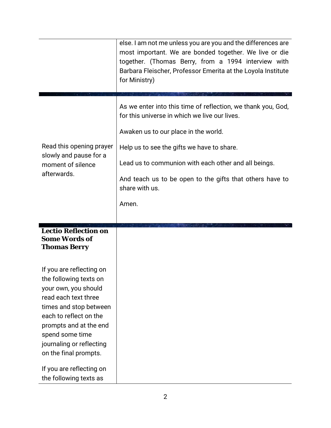|                                                                                                                                                                                                                                                          | else. I am not me unless you are you and the differences are<br>most important. We are bonded together. We live or die<br>together. (Thomas Berry, from a 1994 interview with<br>Barbara Fleischer, Professor Emerita at the Loyola Institute<br>for Ministry)                                                                                     |
|----------------------------------------------------------------------------------------------------------------------------------------------------------------------------------------------------------------------------------------------------------|----------------------------------------------------------------------------------------------------------------------------------------------------------------------------------------------------------------------------------------------------------------------------------------------------------------------------------------------------|
| Read this opening prayer<br>slowly and pause for a<br>moment of silence<br>afterwards.                                                                                                                                                                   | As we enter into this time of reflection, we thank you, God,<br>for this universe in which we live our lives.<br>Awaken us to our place in the world.<br>Help us to see the gifts we have to share.<br>Lead us to communion with each other and all beings.<br>And teach us to be open to the gifts that others have to<br>share with us.<br>Amen. |
| <b>Lectio Reflection on</b><br><b>Some Words of</b><br><b>Thomas Berry</b>                                                                                                                                                                               |                                                                                                                                                                                                                                                                                                                                                    |
| If you are reflecting on<br>the following texts on<br>your own, you should<br>read each text three<br>times and stop between<br>each to reflect on the<br>prompts and at the end<br>spend some time<br>journaling or reflecting<br>on the final prompts. |                                                                                                                                                                                                                                                                                                                                                    |
| If you are reflecting on<br>the following texts as                                                                                                                                                                                                       |                                                                                                                                                                                                                                                                                                                                                    |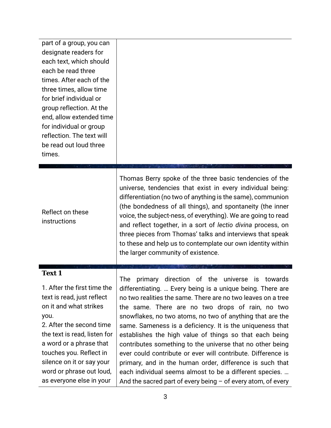| part of a group, you can<br>designate readers for<br>each text, which should<br>each be read three<br>times. After each of the<br>three times, allow time<br>for brief individual or<br>group reflection. At the<br>end, allow extended time<br>for individual or group<br>reflection. The text will<br>be read out loud three<br>times. |                                                                                                                                                                                                                                                                                                                                                                                                                                                                                                                                                                                                                                                                                                                                                  |
|------------------------------------------------------------------------------------------------------------------------------------------------------------------------------------------------------------------------------------------------------------------------------------------------------------------------------------------|--------------------------------------------------------------------------------------------------------------------------------------------------------------------------------------------------------------------------------------------------------------------------------------------------------------------------------------------------------------------------------------------------------------------------------------------------------------------------------------------------------------------------------------------------------------------------------------------------------------------------------------------------------------------------------------------------------------------------------------------------|
| Reflect on these<br>instructions                                                                                                                                                                                                                                                                                                         | Thomas Berry spoke of the three basic tendencies of the<br>universe, tendencies that exist in every individual being:<br>differentiation (no two of anything is the same), communion<br>(the bondedness of all things), and spontaneity (the inner<br>voice, the subject-ness, of everything). We are going to read<br>and reflect together, in a sort of lectio divina process, on<br>three pieces from Thomas' talks and interviews that speak<br>to these and help us to contemplate our own identity within<br>the larger community of existence.                                                                                                                                                                                            |
| <b>Text 1</b><br>1. After the first time the<br>text is read, just reflect<br>on it and what strikes<br>you.<br>2. After the second time<br>the text is read, listen for<br>a word or a phrase that<br>touches you. Reflect in<br>silence on it or say your<br>word or phrase out loud,<br>as everyone else in your                      | primary direction of the universe is towards<br>The<br>differentiating.  Every being is a unique being. There are<br>no two realities the same. There are no two leaves on a tree<br>the same. There are no two drops of rain, no two<br>snowflakes, no two atoms, no two of anything that are the<br>same. Sameness is a deficiency. It is the uniqueness that<br>establishes the high value of things so that each being<br>contributes something to the universe that no other being<br>ever could contribute or ever will contribute. Difference is<br>primary, and in the human order, difference is such that<br>each individual seems almost to be a different species.<br>And the sacred part of every being $-$ of every atom, of every |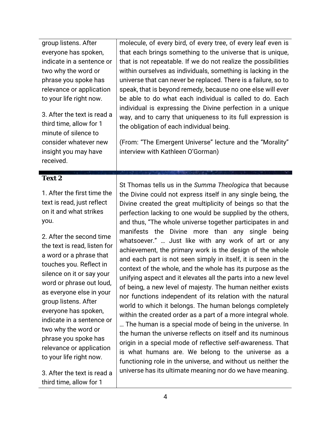| group listens. After<br>everyone has spoken,<br>indicate in a sentence or<br>two why the word or<br>phrase you spoke has<br>relevance or application<br>to your life right now.<br>3. After the text is read a<br>third time, allow for 1<br>minute of silence to<br>consider whatever new<br>insight you may have<br>received.                                                                                                                                                       | molecule, of every bird, of every tree, of every leaf even is<br>that each brings something to the universe that is unique,<br>that is not repeatable. If we do not realize the possibilities<br>within ourselves as individuals, something is lacking in the<br>universe that can never be replaced. There is a failure, so to<br>speak, that is beyond remedy, because no one else will ever<br>be able to do what each individual is called to do. Each<br>individual is expressing the Divine perfection in a unique<br>way, and to carry that uniqueness to its full expression is<br>the obligation of each individual being.<br>(From: "The Emergent Universe" lecture and the "Morality"<br>interview with Kathleen O'Gorman)                                                                                                                                                                                                                                                                                                                                                                                                                                                                                                                           |
|---------------------------------------------------------------------------------------------------------------------------------------------------------------------------------------------------------------------------------------------------------------------------------------------------------------------------------------------------------------------------------------------------------------------------------------------------------------------------------------|-----------------------------------------------------------------------------------------------------------------------------------------------------------------------------------------------------------------------------------------------------------------------------------------------------------------------------------------------------------------------------------------------------------------------------------------------------------------------------------------------------------------------------------------------------------------------------------------------------------------------------------------------------------------------------------------------------------------------------------------------------------------------------------------------------------------------------------------------------------------------------------------------------------------------------------------------------------------------------------------------------------------------------------------------------------------------------------------------------------------------------------------------------------------------------------------------------------------------------------------------------------------|
| <b>Text 2</b>                                                                                                                                                                                                                                                                                                                                                                                                                                                                         |                                                                                                                                                                                                                                                                                                                                                                                                                                                                                                                                                                                                                                                                                                                                                                                                                                                                                                                                                                                                                                                                                                                                                                                                                                                                 |
| 1. After the first time the<br>text is read, just reflect<br>on it and what strikes<br>you.<br>2. After the second time<br>the text is read, listen for<br>a word or a phrase that<br>touches you. Reflect in<br>silence on it or say your<br>word or phrase out loud,<br>as everyone else in your<br>group listens. After<br>everyone has spoken,<br>indicate in a sentence or<br>two why the word or<br>phrase you spoke has<br>relevance or application<br>to your life right now. | St Thomas tells us in the Summa Theologica that because<br>the Divine could not express itself in any single being, the<br>Divine created the great multiplicity of beings so that the<br>perfection lacking to one would be supplied by the others,<br>and thus, "The whole universe together participates in and<br>manifests the Divine more than any single being<br>whatsoever."  Just like with any work of art or any<br>achievement, the primary work is the design of the whole<br>and each part is not seen simply in itself, it is seen in the<br>context of the whole, and the whole has its purpose as the<br>unifying aspect and it elevates all the parts into a new level<br>of being, a new level of majesty. The human neither exists<br>nor functions independent of its relation with the natural<br>world to which it belongs. The human belongs completely<br>within the created order as a part of a more integral whole.<br>The human is a special mode of being in the universe. In<br>the human the universe reflects on itself and its numinous<br>origin in a special mode of reflective self-awareness. That<br>is what humans are. We belong to the universe as a<br>functioning role in the universe, and without us neither the |
| 3. After the text is read a                                                                                                                                                                                                                                                                                                                                                                                                                                                           | universe has its ultimate meaning nor do we have meaning.                                                                                                                                                                                                                                                                                                                                                                                                                                                                                                                                                                                                                                                                                                                                                                                                                                                                                                                                                                                                                                                                                                                                                                                                       |

4

third time, allow for 1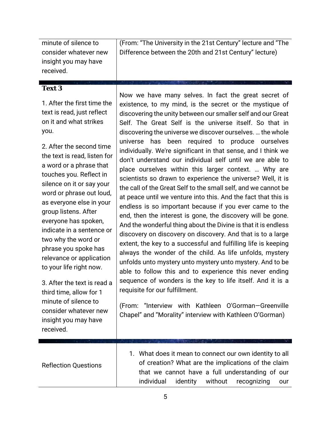minute of silence to consider whatever new insight you may have received.

(From: "The University in the 21st Century" lecture and "The Difference between the 20th and 21st Century" lecture)

## **Text 3**

1. After the first time the text is read, just reflect on it and what strikes you.

2. After the second time the text is read, listen for a word or a phrase that touches you. Reflect in silence on it or say your word or phrase out loud, as everyone else in your group listens. After everyone has spoken, indicate in a sentence or two why the word or phrase you spoke has relevance or application to your life right now.

3. After the text is read a third time, allow for 1 minute of silence to consider whatever new insight you may have received.

Now we have many selves. In fact the great secret of existence, to my mind, is the secret or the mystique of discovering the unity between our smaller self and our Great Self. The Great Self is the universe itself. So that in discovering the universe we discover ourselves. … the whole universe has been required to produce ourselves individually. We're significant in that sense, and I think we don't understand our individual self until we are able to place ourselves within this larger context. … Why are scientists so drawn to experience the universe? Well, it is the call of the Great Self to the small self, and we cannot be at peace until we venture into this. And the fact that this is endless is so important because if you ever came to the end, then the interest is gone, the discovery will be gone. And the wonderful thing about the Divine is that it is endless discovery on discovery on discovery. And that is to a large extent, the key to a successful and fulfilling life is keeping always the wonder of the child. As life unfolds, mystery unfolds unto mystery unto mystery unto mystery. And to be able to follow this and to experience this never ending sequence of wonders is the key to life itself. And it is a requisite for our fulfillment.

(From: "Interview with Kathleen O'Gorman—Greenville Chapel" and "Morality" interview with Kathleen O'Gorman)

|                             | 1. What does it mean to connect our own identity to all |
|-----------------------------|---------------------------------------------------------|
| <b>Reflection Questions</b> | of creation? What are the implications of the claim     |
|                             | that we cannot have a full understanding of our         |
|                             | identity<br>without recognizing<br>individual<br>our    |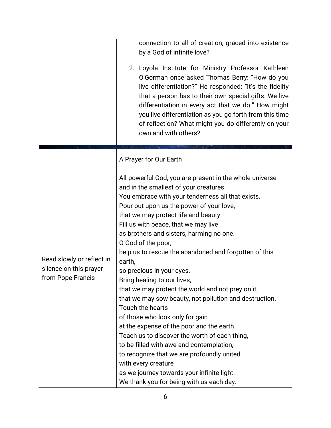|                                                                          | connection to all of creation, graced into existence<br>by a God of infinite love?<br>2. Loyola Institute for Ministry Professor Kathleen<br>O'Gorman once asked Thomas Berry: "How do you<br>live differentiation?" He responded: "It's the fidelity<br>that a person has to their own special gifts. We live<br>differentiation in every act that we do." How might<br>you live differentiation as you go forth from this time<br>of reflection? What might you do differently on your<br>own and with others?                                                                                                                                                                                                                                                                                                                                                                                                                                                   |
|--------------------------------------------------------------------------|--------------------------------------------------------------------------------------------------------------------------------------------------------------------------------------------------------------------------------------------------------------------------------------------------------------------------------------------------------------------------------------------------------------------------------------------------------------------------------------------------------------------------------------------------------------------------------------------------------------------------------------------------------------------------------------------------------------------------------------------------------------------------------------------------------------------------------------------------------------------------------------------------------------------------------------------------------------------|
|                                                                          | A Prayer for Our Earth                                                                                                                                                                                                                                                                                                                                                                                                                                                                                                                                                                                                                                                                                                                                                                                                                                                                                                                                             |
| Read slowly or reflect in<br>silence on this prayer<br>from Pope Francis | All-powerful God, you are present in the whole universe<br>and in the smallest of your creatures.<br>You embrace with your tenderness all that exists.<br>Pour out upon us the power of your love,<br>that we may protect life and beauty.<br>Fill us with peace, that we may live<br>as brothers and sisters, harming no one.<br>O God of the poor,<br>help us to rescue the abandoned and forgotten of this<br>earth,<br>so precious in your eyes.<br>Bring healing to our lives,<br>that we may protect the world and not prey on it,<br>that we may sow beauty, not pollution and destruction.<br>Touch the hearts<br>of those who look only for gain<br>at the expense of the poor and the earth.<br>Teach us to discover the worth of each thing,<br>to be filled with awe and contemplation,<br>to recognize that we are profoundly united<br>with every creature<br>as we journey towards your infinite light.<br>We thank you for being with us each day. |